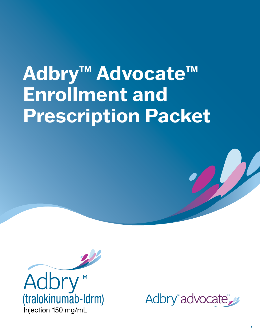# **Adbry™ Advocate™ Enrollment and Prescription Packet**



Adbry"advocate"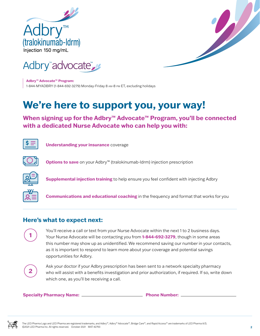



**Adbry™ Advocate™ Program:**  1-844-MYADBRY (1-844-692-3279) Monday-Friday 8 am-8 pm ET, excluding holidays

# **We're here to support you, your way!**

**When signing up for the Adbry™ Advocate™ Program, you'll be connected with a dedicated Nurse Advocate who can help you with:** 



 **Understanding your insurance** coverage



 **Options to save** on your Adbry™ (tralokinumab-ldrm) injection prescription



 **Supplemental injection training** to help ensure you feel confident with injecting Adbry



 **Communications and educational coaching** in the frequency and format that works for you

### **Here's what to expect next:**



You'll receive a call or text from your Nurse Advocate within the next 1 to 2 business days. Your Nurse Advocate will be contacting you from **1-844-692-3279**, though in some areas this number may show up as unidentified. We recommend saving our number in your contacts, as it is important to respond to learn more about your coverage and potential savings opportunities for Adbry.



Ask your doctor if your Adbry prescription has been sent to a network specialty pharmacy who will assist with a benefits investigation and prior authorization, if required. If so, write down which one, as you'll be receiving a call.

**Specialty Pharmacy Name:** <u>**Phone Number:**</u> **Phone Number:** 

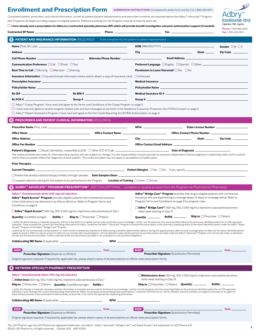## **Enrollment and Prescription Form** SUBMISSION INSTRUCTIONS: Complete this entire form and fax it to 1-855-423-0011

**Phone:** 1-844-692-3279

Adbry<sup>™</sup> (tralokinumab-Idrm) Injection 150 mg/mL

Completed patient, prescriber, and clinical information, as well as patient/patient representative and prescriber consents are required before the Adbry™ Advocate™ Program (the Program) can begin providing support to eligible patients. Patients enrolling into the Program must be at least 18 years old. **I have already sent a prescription for Adbry to a contracted specialty pharmacy (SP) which will provide benefit investigation and prior authorization support (if needed).**

| <b>Contracted SP Name</b>                                                                                                                                                                                                                                                                                                                                                                                                                                       | Phone                  |                                                                                                                                                                                                                                | Fax: 1-855-423-0011            |
|-----------------------------------------------------------------------------------------------------------------------------------------------------------------------------------------------------------------------------------------------------------------------------------------------------------------------------------------------------------------------------------------------------------------------------------------------------------------|------------------------|--------------------------------------------------------------------------------------------------------------------------------------------------------------------------------------------------------------------------------|--------------------------------|
| <b>1 PATIENT AND INSURANCE INFORMATION (REQUIRED)</b>                                                                                                                                                                                                                                                                                                                                                                                                           |                        | To be completed by the patient or patient representative                                                                                                                                                                       |                                |
| Name (First, MI, Last) entertainment and the contract of the contract of the contract of the contract of the contract of the contract of the contract of the contract of the contract of the contract of the contract of the c                                                                                                                                                                                                                                  |                        |                                                                                                                                                                                                                                | Gender $\square$ M $\square$ F |
|                                                                                                                                                                                                                                                                                                                                                                                                                                                                 |                        |                                                                                                                                                                                                                                |                                |
|                                                                                                                                                                                                                                                                                                                                                                                                                                                                 | Alternate Phone Number | <u> 1989 - Johann Barn, mars et al. (</u>                                                                                                                                                                                      |                                |
| <b>Communication Preference □Call</b> □ Email □ Text                                                                                                                                                                                                                                                                                                                                                                                                            |                        | <b>Preferred Language</b> □ English □ Spanish □ Other <u>_____________________________</u> _______                                                                                                                             |                                |
| Best Time to Call $\square$ Morning $\square$ Afternoon $\square$ Evening                                                                                                                                                                                                                                                                                                                                                                                       |                        | <b>Permission to Leave Voicemail UYes UNo</b>                                                                                                                                                                                  |                                |
| <b>Insurance Information</b> $\Box$ Insured (include information below and/or attach a copy of insurance card)                                                                                                                                                                                                                                                                                                                                                  |                        | $\Box$ Uninsured                                                                                                                                                                                                               |                                |
|                                                                                                                                                                                                                                                                                                                                                                                                                                                                 |                        | Medical Insurance entrance that the state of the state of the state of the state of the state of the state of the state of the state of the state of the state of the state of the state of the state of the state of the stat |                                |
|                                                                                                                                                                                                                                                                                                                                                                                                                                                                 |                        |                                                                                                                                                                                                                                |                                |
|                                                                                                                                                                                                                                                                                                                                                                                                                                                                 |                        |                                                                                                                                                                                                                                |                                |
| $Rx PCN # \nightharpoonup$                                                                                                                                                                                                                                                                                                                                                                                                                                      | Group # $\qquad$       |                                                                                                                                                                                                                                |                                |
| □ Adbry <sup>™</sup> Copay Program: I have read and agree to the Terms and Conditions of the Copay Program on page 5<br>$\Box$ I have read and agree to receive program-related calls and text messages as set forth in the Telephone Consumer Protection Act (TCPA) Consent on page 6                                                                                                                                                                          |                        |                                                                                                                                                                                                                                |                                |
| □ Adbry <sup>™</sup> Patient Assistance Program: I have read and agree to the Fair Credit Reporting Act (FCRA) Authorization on page 6                                                                                                                                                                                                                                                                                                                          |                        |                                                                                                                                                                                                                                |                                |
| <b>PRESCRIBER AND PATIENT CLINICAL INFORMATION (REQUIRED)</b>                                                                                                                                                                                                                                                                                                                                                                                                   |                        |                                                                                                                                                                                                                                |                                |
|                                                                                                                                                                                                                                                                                                                                                                                                                                                                 |                        |                                                                                                                                                                                                                                |                                |
|                                                                                                                                                                                                                                                                                                                                                                                                                                                                 |                        |                                                                                                                                                                                                                                |                                |
|                                                                                                                                                                                                                                                                                                                                                                                                                                                                 |                        |                                                                                                                                                                                                                                |                                |
|                                                                                                                                                                                                                                                                                                                                                                                                                                                                 |                        |                                                                                                                                                                                                                                |                                |
|                                                                                                                                                                                                                                                                                                                                                                                                                                                                 |                        |                                                                                                                                                                                                                                |                                |
| The codes provided are solely for informational purposes and are subject to change. It is the responsibility of each provider to exercise independent clinical judgment in selecting codes and to submit<br>claims that accurately reflect the diagnosis of each patient. The codes provided may not apply to all patients or health plans.                                                                                                                     |                        |                                                                                                                                                                                                                                |                                |
|                                                                                                                                                                                                                                                                                                                                                                                                                                                                 |                        |                                                                                                                                                                                                                                |                                |
|                                                                                                                                                                                                                                                                                                                                                                                                                                                                 |                        |                                                                                                                                                                                                                                |                                |
| □ Patient has already initiated therapy of Adbry through samples <b>Date Samples Given</b> ______________                                                                                                                                                                                                                                                                                                                                                       |                        |                                                                                                                                                                                                                                |                                |
| $\Box$ I request injection training for this patient to be performed by the Program <b>Location of Training</b> $\Box$ Home $\Box$ Virtual                                                                                                                                                                                                                                                                                                                      |                        |                                                                                                                                                                                                                                |                                |
| © ADBRY <sup>™</sup> ADVOCATE <sup>™</sup> PROGRAM PRESCRIPTION* (SECTION OPTIONAL - complete to receive product from the Program via PharmaCord Pharmacy)                                                                                                                                                                                                                                                                                                      |                        |                                                                                                                                                                                                                                |                                |
| Adbry <sup>™</sup> (tralokinumab-ldrm) (150 mg/ml) injection                                                                                                                                                                                                                                                                                                                                                                                                    |                        | Adbry <sup>™</sup> Bridge Care <sup>™</sup> Program provides free drug to eligible patients with commercial                                                                                                                    |                                |
| Adbry <sup>™</sup> Rapid Access <sup>™</sup> Program provides eligible patients with commercial insurance<br>a free initial dose to be delivered in as little as 48 hours. Refer to Program Terms and                                                                                                                                                                                                                                                           |                        | insurance who are experiencing a coverage delay (>5 days) or coverage denial. Refer to<br>Program Terms and Conditions on page 5 for program rules.                                                                            |                                |
| Conditions on page 6.                                                                                                                                                                                                                                                                                                                                                                                                                                           |                        | □ Adbry <sup>™</sup> Bridge Care <sup>™</sup> : 300 mg, SIG: 2 (150 mg/mL) injections subcutaneously every                                                                                                                     |                                |
| <b>□ Adbry™ Rapid Access™:</b> 600 mg, SIG: 4 (150 mg/mL) injections subcutaneously at Day 1                                                                                                                                                                                                                                                                                                                                                                    |                        | other week starting on Day 15                                                                                                                                                                                                  |                                |
| <b>Ship to</b> $\Box$ Prescriber $\Box$ Patient<br>Refills: 0<br><b>Quantity:</b> 4 prefilled syringes                                                                                                                                                                                                                                                                                                                                                          |                        | Quantity ____________ Refills _____________ Ship to <b>Departs</b> Patient                                                                                                                                                     |                                |
| I certify the above therapy is medically necessary and this information is complete and accurate to the best of my knowledge. I certify I am the physician who has prescribed Adbry to the previously identified patient for a<br>indication. I have reviewed the current full Prescribing Information for Adbry. I authorize the Adbry™ Advocate™ Program to forward this prescription to the pharmacy dispensing Adbry to the above identified patient under  |                        |                                                                                                                                                                                                                                |                                |
| Access™ Program or the Adbry™ Bridge Care™ Program.<br>I authorize for my commercially insured patient 1 or more months of temporary shipments of Adbry during a benefits determination delay or during the appeal process after an initial coverage delay for Adbry for the above id                                                                                                                                                                           |                        |                                                                                                                                                                                                                                |                                |
| l agree to assist in efforts to secure access to Adbry for my commercially insured patient. I will not attempt to seek reimbursement for any free product provided under the Adbry™ Advocate™ Program and I will not sell, tra<br>for sale any free product provided. I further understand that any free product provided is not contingent on any purchase obligations.                                                                                        |                        |                                                                                                                                                                                                                                |                                |
|                                                                                                                                                                                                                                                                                                                                                                                                                                                                 |                        |                                                                                                                                                                                                                                |                                |
| SIGN )                                                                                                                                                                                                                                                                                                                                                                                                                                                          |                        | SIGN )                                                                                                                                                                                                                         |                                |
| <b>Prescriber Signature</b> (Dispense as Written)                                                                                                                                                                                                                                                                                                                                                                                                               |                        | Prescriber Signature (Substitution Permitted)                                                                                                                                                                                  |                                |
| Original signature required. If required by applicable law, please attach copies of all prescriptions on official state prescription forms.                                                                                                                                                                                                                                                                                                                     |                        |                                                                                                                                                                                                                                |                                |
| NETWORK SPECIALTY PHARMACY PRESCRIPTION                                                                                                                                                                                                                                                                                                                                                                                                                         |                        |                                                                                                                                                                                                                                |                                |
| Adbry <sup>™</sup> (tralokinumab-ldrm) (150 mg/ml) injection                                                                                                                                                                                                                                                                                                                                                                                                    |                        | $\Box$ Maintenance dose: 300 mg, SIG: 2 (150 mg/mL) injections subcutaneously every                                                                                                                                            |                                |
| $\Box$ Initial dose: 600 mg, SIG: 4 (150 mg/mL) injections subcutaneously at Day 1                                                                                                                                                                                                                                                                                                                                                                              |                        | other week starting on Day 15                                                                                                                                                                                                  |                                |
| <b>Ship to</b> $\Box$ Prescriber $\Box$ Patient <b>Quantity:</b> 4 prefilled syringes <b>Refills:</b> 0                                                                                                                                                                                                                                                                                                                                                         |                        | <b>Ship to</b> Prescriber $\Box$ Patient <b>Quantity:</b> _________                                                                                                                                                            | <b>Refills: ________</b>       |
| I certify this therapy is medically necessary and this information is complete and accurate to the best of my knowledge. I certify I am the physician who has prescribed Adbry to the previously identified patient for an FDA<br>indication. I have reviewed the current full prescribing information for Adbry. For purposes of transmitting these prescriptions, I authorize LEO Pharma Inc. and its affiliates, business partners, and agents to forward as |                        |                                                                                                                                                                                                                                |                                |
| these limited purposes these prescriptions electronically, by facsimile, or by mail to the appropriate dispensing pharmacies.                                                                                                                                                                                                                                                                                                                                   |                        |                                                                                                                                                                                                                                |                                |
|                                                                                                                                                                                                                                                                                                                                                                                                                                                                 |                        | <b>NPI# _______________________________</b>                                                                                                                                                                                    |                                |
| <u> Date - Die Bergerung von Bergerung der Date - Date - Date - Date - Date - Date - Date - Date - Date - Date - D</u><br><b>SIGN</b>                                                                                                                                                                                                                                                                                                                           |                        | SIGN <b>SIGN</b>                                                                                                                                                                                                               | Date ____                      |
| <b>Prescriber Signature</b> (Dispense as Written)                                                                                                                                                                                                                                                                                                                                                                                                               |                        | <b>Prescriber Signature (Substitution Permitted)</b>                                                                                                                                                                           |                                |
| Original signature required. If required by applicable law, please attach copies of all prescriptions on official state prescription forms.                                                                                                                                                                                                                                                                                                                     |                        |                                                                                                                                                                                                                                |                                |

The LEO Pharma Logo and LEO Pharma are registered trademarks, and Adbry™, Adbry™ Advocate™, Bridge Care™, and Rapid Access™ are trademarks of LEO Pharma A/S. ©2021 LEO Pharma Inc. All rights reserved. October 2021 MAT-42793 **<sup>3</sup>**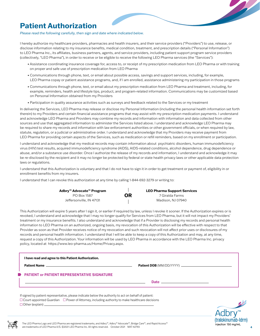# **Patient Authorization**

#### *Please read the following carefully, then sign and date where indicated below.*

I hereby authorize my healthcare providers, pharmacies and health insurers, and their service providers ("Providers") to use, release, or disclose information relating to my insurance benefits, medical condition, treatment, and prescription details ("Personal Information") to LEO Pharma Inc., its affiliates, business partners, agents, and service providers, including patient support program service providers (collectively, "LEO Pharma"), in order to receive or be eligible to receive the following LEO Pharma services (the "Services"):

- Assistance coordinating insurance coverage for, access to, or receipt of my prescription medication from LEO Pharma or with training on proper and safe use of prescription medication from LEO Pharma
- Communications through phone, text, or email about possible access, savings and support services, including, for example, LEO Pharma copay or patient assistance programs, and, if I am enrolled, assistance administering my participation in those programs
- Communications through phone, text, or email about my prescription medication from LEO Pharma and treatment, including, for example, reminders, health and lifestyle tips, product, and program-related information. Communications may be customized based on Personal Information obtained from my Providers
- Participation in quality assurance activities such as surveys and feedback related to the Services or my treatment

In delivering the Services, LEO Pharma may release or disclose my Personal Information (including the personal health information set forth therein) to my Providers and certain financial assistance programs that may assist with my prescription medication payments. I understand and acknowledge LEO Pharma and Providers may combine my records and information with information and data collected from other sources and use that aggregated information to administer the Services listed above. I understand and acknowledge LEO Pharma may be required to share my records and information with law enforcement authorities or other government officials, or when required by law, statute, regulation, or a judicial or administrative order. I understand and acknowledge that my Providers may receive payment from LEO Pharma for providing certain aspects of the Services, such as medication or refill reminders, based on my enrollment or participation.

I understand and acknowledge that my medical records may contain information about psychiatric disorders, human immunodeficiency virus (HIV) test results, acquired immunodeficiency syndrome (AIDS), AIDS-related conditions, alcohol dependence, drug dependence or abuse, and/or a substance use disorder. Once I authorize the release of my records and information, I understand and acknowledge it may be re-disclosed by the recipient and it may no longer be protected by federal or state health privacy laws or other applicable data protection laws or regulations.

I understand that this Authorization is voluntary and that I do not have to sign it in order to get treatment or payment of, eligibility in or enrollment benefits from my insurers.

I understand that I can revoke this authorization at any time by calling 1-844-692-3279 or writing to:

| Adbry™ Advocate™ Program |           | <b>LEO Pharma Support Services</b> |
|--------------------------|-----------|------------------------------------|
| PO Box 1587              | <b>OR</b> | 7 Giralda Farms                    |
| Jeffersonville, IN 47131 |           | Madison. NJ 07940                  |

This Authorization will expire 5 years after I sign it, or earlier if required by law, unless I revoke it sooner. If the Authorization expires or is revoked, I understand and acknowledge that I may no longer qualify for Services from LEO Pharma, but it will not impact my Providers' treatment or my insurance benefits. I also understand and acknowledge that if a Provider is disclosing my records and personal health information to LEO Pharma on an authorized, ongoing basis, my revocation of this Authorization will be effective with respect to that Provider as soon as that Provider receives notice of my revocation and such revocation will not affect prior uses or disclosures of my records and personal health information. I understand that I will be able to keep a copy of this Authorization and may, at any time, request a copy of this Authorization. Your information will be used by LEO Pharma in accordance with the LEO Pharma Inc. privacy policy, located at [https://www.leo-pharma.us/Home/Privacy.aspx.](https://www.leo-pharma.us/Home/Privacy.aspx)

| I have read and agree to this Patient Authorization.<br><b>PATIENT OF PATIENT REPRESENTATIVE SIGNATURE</b>                                                                                                          |                                                                                                                        |
|---------------------------------------------------------------------------------------------------------------------------------------------------------------------------------------------------------------------|------------------------------------------------------------------------------------------------------------------------|
|                                                                                                                                                                                                                     | Date <u>and the second contract of the second contract of the second contract of the second contract of the second</u> |
| If signed by patient representative, please indicate below the authority to act on behalf of patient:<br>$\Box$ Court-appointed Guardian $\Box$ Power of Attorney, including authority to make healthcare decisions |                                                                                                                        |



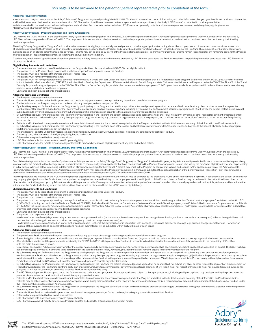#### *This page is to be provided to the patient or patient representative prior to completion of the form.*

#### **Additional Privacy Information**

You understand that you can opt out of the Adbry™ Advocate™ Program at any time by calling 1-844-692-3279. Your health information, contact information, and other information that you, your healthcare providers, pharmacies [https://www.leo-pharma.us/Home/Privacy.aspx.](https://www.leo-pharma.us/Home/Privacy.aspx)

#### **Adbry™ Copay Program – Program Summary and Terms & Conditions**

LEO Pharma Inc. ("LEO Pharma") is the distributor of Adbry™ (tralokinumab-Idrm) injection (the "Product"). LEO Pharma sponsors the Adbry™ Advocate™ patient access programs (Adbry Advocate) which are operated by<br>LEO Pharma healthcare providers.

The Adbry™ Copay Program (the "Program") will provide reimbursement for eligible, commercially insured patients' cost-sharing obligations (including, deductibles, copayments, coinsurance, or amounts in excess of out-<br>of-po

A patient may enroll in the Copay Program either through enrolling in Adbry Advocate or via other means provided by LEO Pharma, such as via the Product website or via specialty pharmacies contracted with LEO Pharma to dispense the Product.

#### **Eligibility Requirements and Limitations**

• The current annual maximum benefit available under the Program is fifteen thousand dollars (\$15,000.00) per eligible patient.

- The patient must be 18 years of age or older with a valid prescription for an approved use of the Product. • The patient must be a resident of the United States or Puerto Rico.
- The patient must have commercial insurance.
- The patient must not have prescription drug coverage for the Product, in whole or in part, under any federal or state healthprogram that is a "federal healthcare program" as defined under 42 U.S.C. § 1320a-7b(f), including but not limited to Medicare, Medicaid, TRICARE, the Indian Health Service, the Department of Veterans Affairs Health Benefit Program, state Children's Health Insurance Programs under the Title XIX or Title XXI of the Socia periods under such federal healthcare programs.

• Uninsured and cash-paying patients are not eligible.

#### **Additional Terms and Conditions**

The Program does not constitute insurance.

- The availability of benefits under the Program does not constitute any guarantee of coverage under any prescription benefit insurance or program.
- 
- The benefits under this Program may not be combined with any third-party rebate, coupon, or offer.<br>By submitting a request for benefits under the Program of by participating in the Program, including any commercial or gove
- his or her plan.
- Patients and/or their healthcare providers must submit complete information and/or documentation required under the Program and attest to the truthfulness and accuracy of the information and/or documentation.<br>• By submit • By submitting a request for benefits under the Program or by participating in the Program, each of the patient and healthcare provider acknowledges, understands and agrees to the benefit, eligibility, and other program limitations, terms and conditions as set forth herein.
- The availability of benefits under the Program is not conditioned on any past, present, or future purchase, including any potential future refills of Product.<br>• The copay card, whether issued virtually or physically, has
- 
- Offer void where prohibited by law, taxed, or restricted.
- LEO Pharma has sole discretion to determine Program eligibility.
- LEO Pharma reserves the right to amend, modify, or terminate Program benefits and eligibility criteria at any time and without notice.

#### **<sup>™</sup> Bridge Care<sup>™</sup> Program – Program Summary and Terms & Conditions**

LEO Pharma Inc. ("LEO Pharma") is the distributor of Adbry™ (tralokinumab-ldrm) injection (the "Product"). LEO Pharma sponsors the Adbry™ Advocate™ patient access programs (Adbry Advocate) which are operated by LEO Pharma's service provider – PharmaCord LLC. The purpose of Adbry Advocate is to help ensure that medically appropriate patients have access to the medication that has been prescribed for them by their treating healthcare providers.

One of the offerings available for the benefit of patients under Adbry Advocate is the Adbry™ Bridge Care™ Program (the "Program"). Under the Program, Adbry Advocate will provide the Product, consistent with the prescribi information for the Product, without charge and on a periodic basis, to commercially insured patients that have been prescribed the Product for an approved use and who satisfy the Program's eligibility criteria, after expe Program Enrollment and Prescription Form. A healthcare provider ("HCP") may prescribe the Product by completing, signing, and submitting the applicable portion of the Enrollment and Prescription Form which includes a<br>presc

After the prescription is received by the NCDP and the patient's eligibility for the Program is verified, the Product may be delivered to the prescribing HCP's office. Alternatively, if: a) the HCP decides that the patient shipment of the Product which may extend the delivery time. Product will be dispensed from the NCDP via overnight delivery.

#### **Eligibility Requirements and Limitations**

• The patient must be 18 years of age or older with a valid prescription for an approved use of the Product. • The patient must be a resident of the United States or Puerto Rico.

- 
- The patient must have commercial insurance.
- The patient must not have prescription drug coverage for the Product, in whole or in part, under any federal or state government subsidized health program that is a "federal healthcare program" as defined under 42 U.S.C.<br>[ or Title XXI of the Social Security Act, state block grant programs under Title V or Title XX of the Social Security Act, or state pharmaceutical assistance programs. This Program is not available for patients within a ded or similar cost sharing periods under such federal healthcare programs.
- Uninsured and cash-paying patients are not eligible. The patient must experience either:
	- A delay of more than five (5) days in securing an insurance coverage determination (i.e. the actual submission of a request for coverage determination, such as a prior authorization request) either at therapy initiation or
- connection with a change in insurance provider or coverage (e.g., due to a change in employment); or<br>– A denial of insurance coverage based on a prior authorization request either at therapy initiation or in connection w appeal of the coverage denial, on behalf of the patient, has been submitted or will be submitted within thirty (30) days of such denial.

#### **Additional Terms and Conditions**

- The Program does not constitute insurance. The provision of Product under the Program does not constitute any guarantee of coverage under any prescription benefit insurance or program.
- For each eligible patient, the Program provides Product, without charge, on a periodic basis, to such patient for up two (2) years or until the patient receives insurance coverage approval, whichever occurs earlier.
- After eligibility is verified and the prescription is received by the NCDP, the NCDP will ship a supply of Product, in amounts to be determined in the sole discretion of Adbry Advocate, to the prescribing HCP's office, or to the patient, as explained above.
- On a regular basis, Adbry Advocate will verify whether the patient has secured a coverage determination or, if a noncoverage determination has been issued, whether the patient has submitted an appeal. The NCDP will ship<br>
- By submitting a request for Product under the Program or by participating in the Program, the healthcare provider acknowledges and agrees that he or she: (1) will not submit any claim or other request for payment or reques
- ∙ By submitting a request for Product under the Program or by participating in the Program, the patient acknowledges and agrees that he or she: (1) will not submit any claim or other request for payment or reimbursement f
- plan; and (3) will not sell, transfer, or otherwise dispense Product to any other third party.<br>• The NCDP only dispenses Product pursuant to the Adbry Advocate patient access programs. Product prescriptions subject to thir patient's choice, subject to product distribution and third-party payer limitations.
- Patients and/or their healthcare providers must submit complete information and/or documentation required under the Program and attest to the truthfulness and accuracy of the information and/or documentation.<br>Patients may the Program in the sole discretion of Adbry Advocate.
- By submitting a request for Product under the Program or by participating in the Program, each of the patient and the healthcare provider acknowledges, understands and agrees to the benefit, eligibility, and other program
- limitations, terms and conditions as set forth herein. The availability of Product under the Program is not conditioned on any past, present, or future purchase, including any potential future refills of Product.
- 
- 
- Offer void where prohibited by law, taxed, or restricted.<br>• LEO Pharma has sole discretion to determine Program eligibility.<br>• LEO Pharma may amend, modify, or terminate Program benefits and eligibility crite